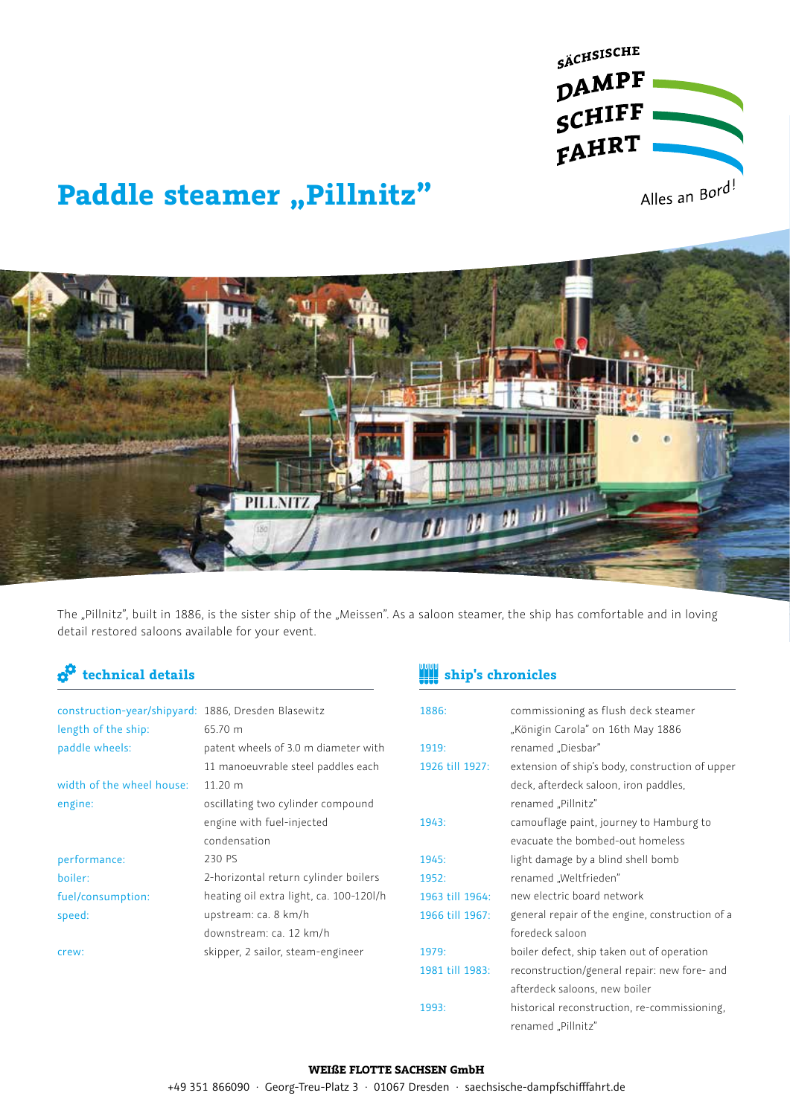

# **Paddle steamer "Pillnitz"**



The "Pillnitz", built in 1886, is the sister ship of the "Meissen". As a saloon steamer, the ship has comfortable and in loving detail restored saloons available for your event.

| construction-year/shipyard: 1886, Dresden Blasewitz |                                         |
|-----------------------------------------------------|-----------------------------------------|
| length of the ship:                                 | 65.70 m                                 |
| paddle wheels:                                      | patent wheels of 3.0 m diameter with    |
|                                                     | 11 manoeuvrable steel paddles each      |
| width of the wheel house:                           | 11.20 m                                 |
| engine:                                             | oscillating two cylinder compound       |
|                                                     | engine with fuel-injected               |
|                                                     | condensation                            |
| performance:                                        | 230 P.S.                                |
| boiler:                                             | 2-horizontal return cylinder boilers    |
| fuel/consumption:                                   | heating oil extra light, ca. 100-120l/h |
| speed:                                              | upstream: ca. 8 km/h                    |
|                                                     | downstream: ca. 12 km/h                 |
| crew:                                               | skipper, 2 sailor, steam-engineer       |
|                                                     |                                         |
|                                                     |                                         |

## **technical details ship's chronicles**

| 1886:           | commissioning as flush deck steamer             |
|-----------------|-------------------------------------------------|
|                 | "Königin Carola" on 16th May 1886               |
| 1919:           | renamed "Diesbar"                               |
| 1926 till 1927: | extension of ship's body, construction of upper |
|                 | deck, afterdeck saloon, iron paddles,           |
|                 | renamed "Pillnitz"                              |
| 1943:           | camouflage paint, journey to Hamburg to         |
|                 | evacuate the bombed-out homeless                |
| 1945:           | light damage by a blind shell bomb              |
| 1952:           | renamed "Weltfrieden"                           |
| 1963 till 1964: | new electric board network                      |
| 1966 till 1967: | general repair of the engine, construction of a |
|                 | foredeck saloon                                 |
| 1979:           | boiler defect, ship taken out of operation      |
| 1981 till 1983: | reconstruction/general repair: new fore- and    |
|                 | afterdeck saloons, new boiler                   |
| 1993:           | historical reconstruction, re-commissioning,    |
|                 | renamed "Pillnitz"                              |

#### **WEIßE FLOTTE SACHSEN GmbH**